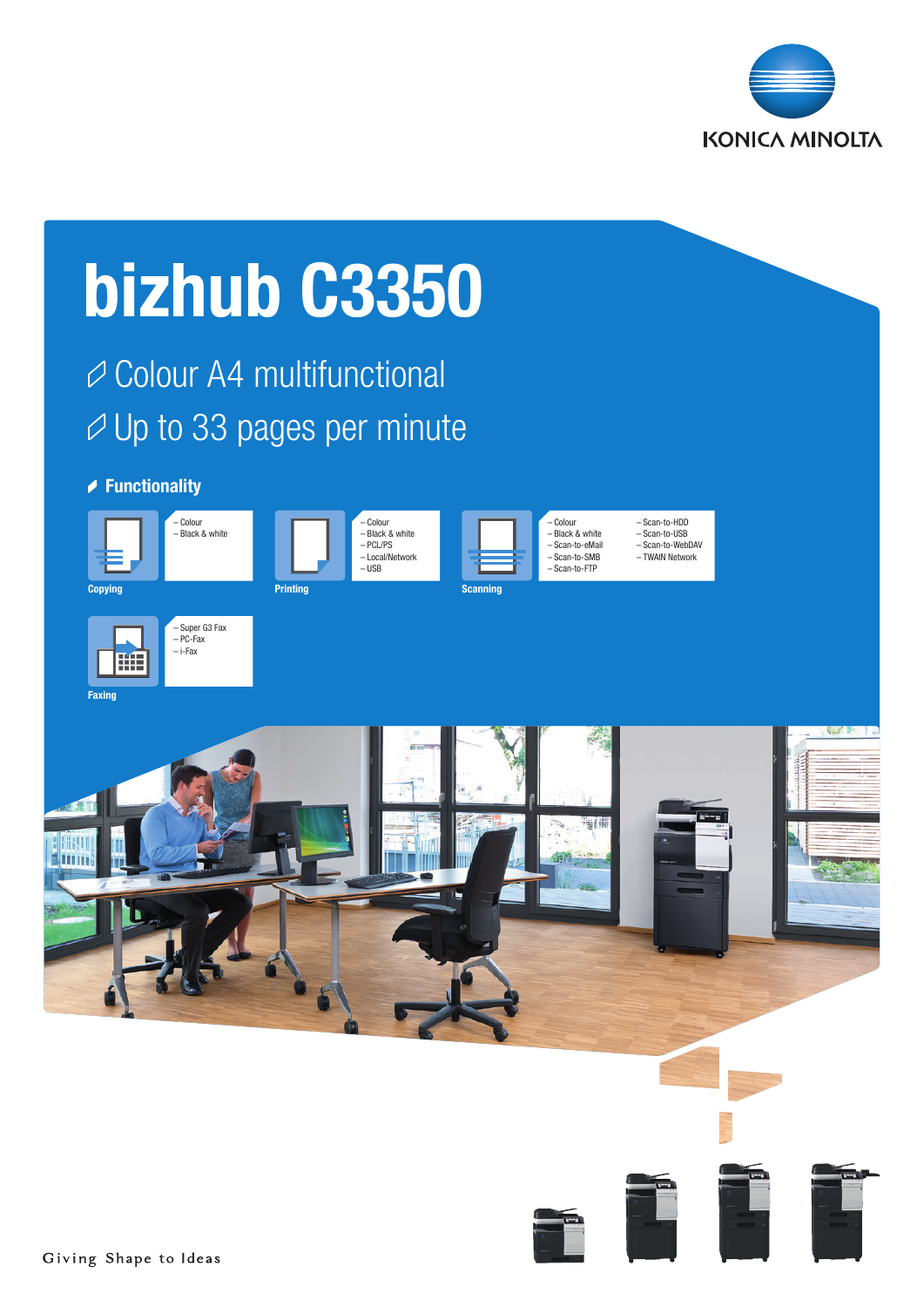

# bizhub C3350

**⊘ Colour A4 multifunctional**  $\varnothing$  Up to 33 pages per minute

# **► Functionality**

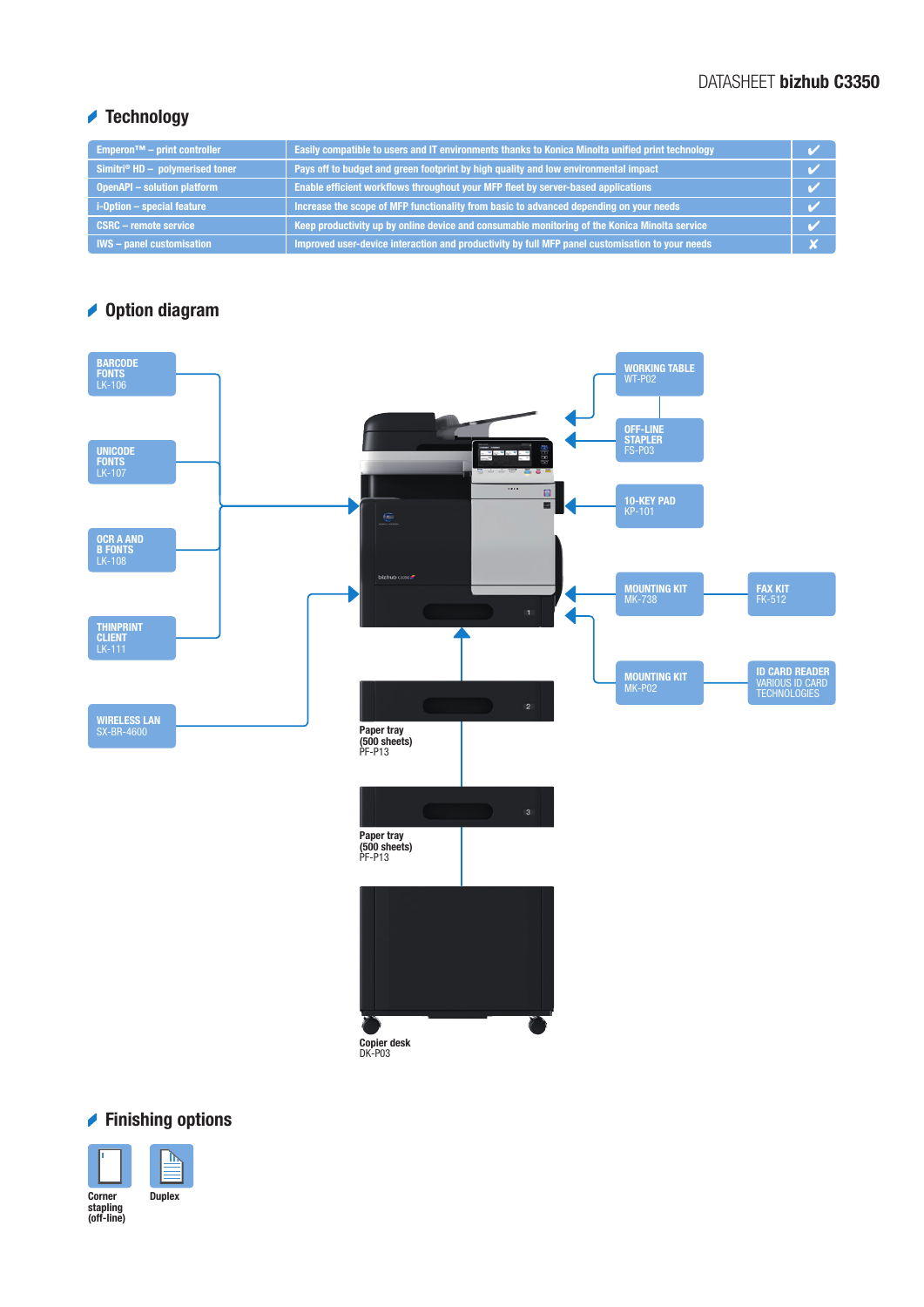# DATASHEET bizhub C3350

# Technology

| Emperon <sup><math>TM</math></sup> – print controller | Easily compatible to users and IT environments thanks to Konica Minolta unified print technology |  |
|-------------------------------------------------------|--------------------------------------------------------------------------------------------------|--|
| Simitri® $HD -$ polymerised toner                     | Pays off to budget and green footprint by high quality and low environmental impact              |  |
| <b>OpenAPI - solution platform</b>                    | Enable efficient workflows throughout your MFP fleet by server-based applications                |  |
| i-Option - special feature                            | Increase the scope of MFP functionality from basic to advanced depending on your needs           |  |
| <b>CSRC - remote service</b>                          | Keep productivity up by online device and consumable monitoring of the Konica Minolta service    |  |
| <b>IWS</b> – panel customisation                      | Improved user-device interaction and productivity by full MFP panel customisation to your needs  |  |

# **◆ Option diagram**



# **► Finishing options**

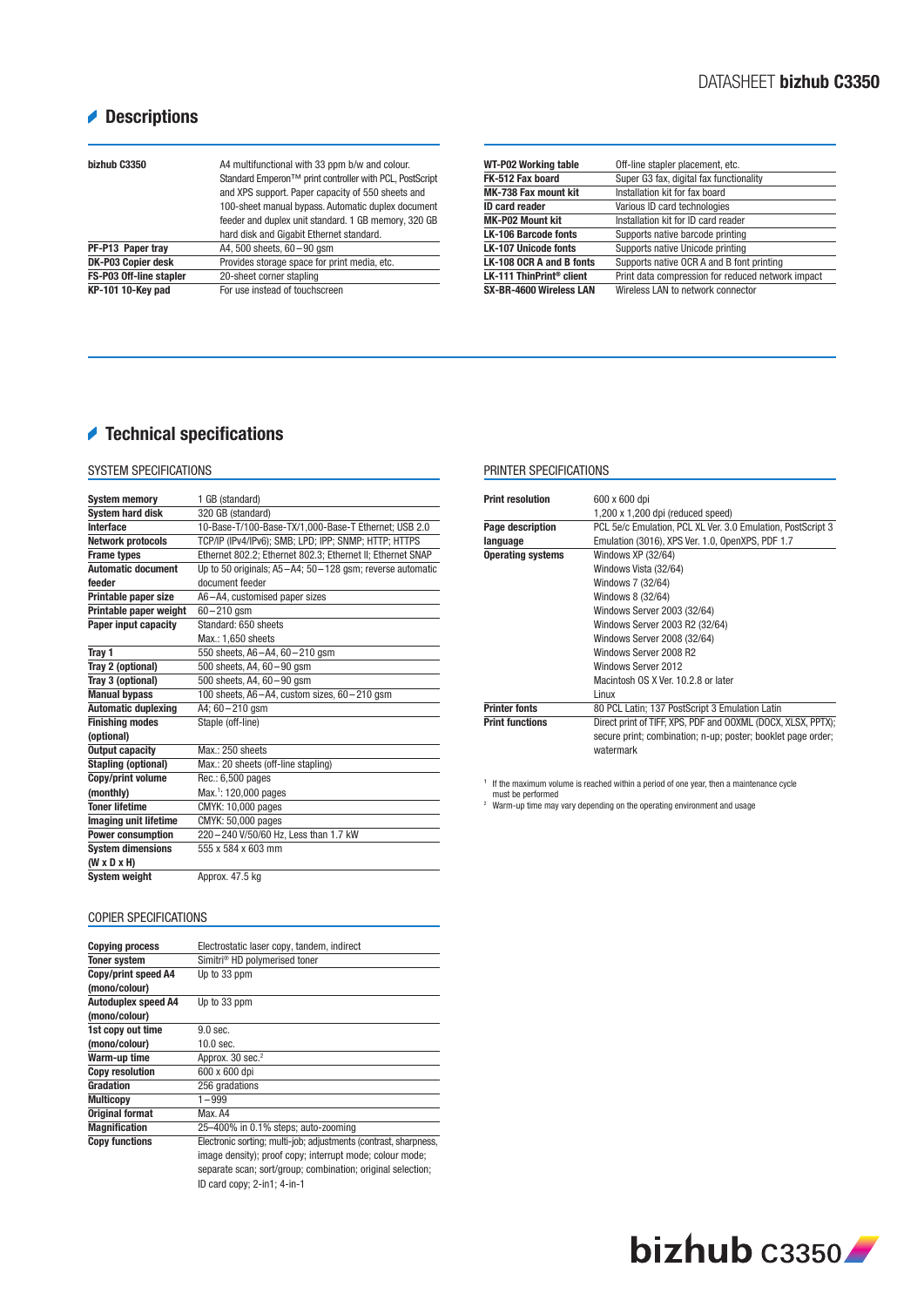# **Descriptions**

| bizhub C3350            | A4 multifunctional with 33 ppm b/w and colour.<br>Standard Emperon™ print controller with PCL, PostScript<br>and XPS support. Paper capacity of 550 sheets and<br>100-sheet manual bypass. Automatic duplex document<br>feeder and duplex unit standard. 1 GB memory, 320 GB<br>hard disk and Gigabit Ethernet standard. |
|-------------------------|--------------------------------------------------------------------------------------------------------------------------------------------------------------------------------------------------------------------------------------------------------------------------------------------------------------------------|
| PF-P13 Paper tray       | A4, 500 sheets, $60 - 90$ gsm                                                                                                                                                                                                                                                                                            |
| DK-P03 Copier desk      | Provides storage space for print media, etc.                                                                                                                                                                                                                                                                             |
| FS-P03 Off-line stapler | 20-sheet corner stapling                                                                                                                                                                                                                                                                                                 |
| KP-101 10-Key pad       | For use instead of touchscreen                                                                                                                                                                                                                                                                                           |

| <b>WT-P02 Working table</b>          | Off-line stapler placement, etc.                  |
|--------------------------------------|---------------------------------------------------|
| FK-512 Fax board                     | Super G3 fax, digital fax functionality           |
| <b>MK-738 Fax mount kit</b>          | Installation kit for fax board                    |
| <b>ID</b> card reader                | Various ID card technologies                      |
| <b>MK-P02 Mount kit</b>              | Installation kit for ID card reader               |
| <b>LK-106 Barcode fonts</b>          | Supports native barcode printing                  |
| <b>LK-107 Unicode fonts</b>          | Supports native Unicode printing                  |
| LK-108 OCR A and B fonts             | Supports native OCR A and B font printing         |
| LK-111 ThinPrint <sup>®</sup> client | Print data compression for reduced network impact |
| SX-BR-4600 Wireless LAN              | Wireless LAN to network connector                 |

## Technical specifications

## SYSTEM SPECIFICATIONS

| <b>System memory</b>       | 1 GB (standard)                                            |
|----------------------------|------------------------------------------------------------|
| <b>System hard disk</b>    | 320 GB (standard)                                          |
| Interface                  | 10-Base-T/100-Base-TX/1,000-Base-T Ethernet; USB 2.0       |
| <b>Network protocols</b>   | TCP/IP (IPv4/IPv6); SMB; LPD; IPP; SNMP; HTTP; HTTPS       |
| <b>Frame types</b>         | Ethernet 802.2; Ethernet 802.3; Ethernet II; Ethernet SNAP |
| <b>Automatic document</b>  | Up to 50 originals; A5-A4; 50-128 gsm; reverse automatic   |
| feeder                     | document feeder                                            |
| Printable paper size       | A6-A4, customised paper sizes                              |
| Printable paper weight     | $60 - 210$ asm                                             |
| Paper input capacity       | Standard: 650 sheets                                       |
|                            | Max.: 1,650 sheets                                         |
| Tray 1                     | 550 sheets, A6-A4, 60-210 qsm                              |
| Tray 2 (optional)          | 500 sheets, A4, 60 - 90 qsm                                |
| Tray 3 (optional)          | 500 sheets, $A4, 60 - 90$ gsm                              |
| <b>Manual bypass</b>       | 100 sheets, A6-A4, custom sizes, 60-210 gsm                |
| <b>Automatic duplexing</b> | A4; 60-210 gsm                                             |
| <b>Finishing modes</b>     | Staple (off-line)                                          |
| (optional)                 |                                                            |
| <b>Output capacity</b>     | $Max \cdot 250$ sheets                                     |
| <b>Stapling (optional)</b> | Max.: 20 sheets (off-line stapling)                        |
| Copy/print volume          | Rec.: 6,500 pages                                          |
| (monthly)                  | Max. <sup>1</sup> : 120,000 pages                          |
| <b>Toner lifetime</b>      | CMYK: 10,000 pages                                         |
| Imaging unit lifetime      | CMYK: 50,000 pages                                         |
| <b>Power consumption</b>   | 220-240 V/50/60 Hz, Less than 1.7 kW                       |
| <b>System dimensions</b>   | 555 x 584 x 603 mm                                         |
| $(W \times D \times H)$    |                                                            |
| <b>System weight</b>       | Approx, 47.5 kg                                            |

## PRINTER SPECIFICATIONS

| <b>Print resolution</b>  | 600 x 600 dpi                                                |
|--------------------------|--------------------------------------------------------------|
|                          | $1,200 \times 1,200$ dpi (reduced speed)                     |
| Page description         | PCL 5e/c Emulation, PCL XL Ver. 3.0 Emulation, PostScript 3  |
| language                 | Emulation (3016), XPS Ver. 1.0, OpenXPS, PDF 1.7             |
| <b>Operating systems</b> | Windows XP (32/64)                                           |
|                          | Windows Vista (32/64)                                        |
|                          | Windows 7 (32/64)                                            |
|                          | Windows 8 (32/64)                                            |
|                          | Windows Server 2003 (32/64)                                  |
|                          | Windows Server 2003 R2 (32/64)                               |
|                          | Windows Server 2008 (32/64)                                  |
|                          | Windows Server 2008 R2                                       |
|                          | Windows Server 2012                                          |
|                          | Macintosh OS X Ver. 10.2.8 or later                          |
|                          | Linux                                                        |
| <b>Printer fonts</b>     | 80 PCL Latin; 137 PostScript 3 Emulation Latin               |
| <b>Print functions</b>   | Direct print of TIFF, XPS, PDF and OOXML (DOCX, XLSX, PPTX); |
|                          | secure print; combination; n-up; poster; booklet page order; |
|                          | watermark                                                    |

 $1$  If the maximum volume is reached within a period of one year, then a maintenance cycle

must be performed 2 Warm-up time may vary depending on the operating environment and usage

## COPIER SPECIFICATIONS

| <b>Copying process</b>     | Electrostatic laser copy, tandem, indirect                       |
|----------------------------|------------------------------------------------------------------|
| <b>Toner system</b>        | Simitri <sup>®</sup> HD polymerised toner                        |
| Copy/print speed A4        | Up to 33 ppm                                                     |
| (mono/colour)              |                                                                  |
| <b>Autoduplex speed A4</b> | Up to 33 ppm                                                     |
| (mono/colour)              |                                                                  |
| 1st copy out time          | 9.0 sec.                                                         |
| (mono/colour)              | $10.0$ sec.                                                      |
| Warm-up time               | Approx. 30 sec. <sup>2</sup>                                     |
| <b>Copy resolution</b>     | 600 x 600 dpi                                                    |
| Gradation                  | 256 gradations                                                   |
| <b>Multicopy</b>           | $1 - 999$                                                        |
| <b>Original format</b>     | Max. A4                                                          |
| <b>Magnification</b>       | 25-400% in 0.1% steps; auto-zooming                              |
| <b>Copy functions</b>      | Electronic sorting; multi-job; adjustments (contrast, sharpness, |
|                            | image density); proof copy; interrupt mode; colour mode;         |
|                            |                                                                  |

separate scan; sort/group; combination; original selection; ID card copy; 2-in1; 4-in-1